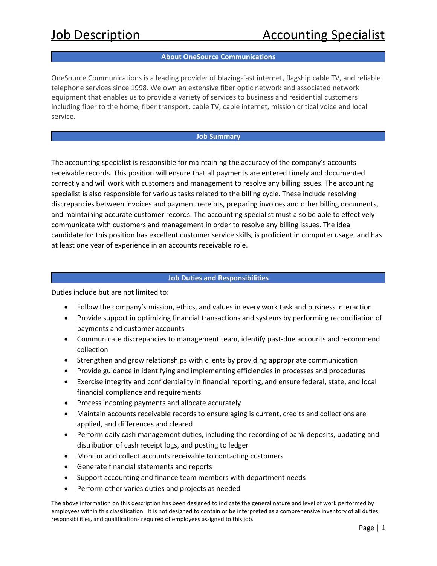## **About OneSource Communications**

OneSource Communications is a leading provider of blazing-fast internet, flagship cable TV, and reliable telephone services since 1998. We own an extensive fiber optic network and associated network equipment that enables us to provide a variety of services to business and residential customers including fiber to the home, fiber transport, cable TV, cable internet, mission critical voice and local service.

#### **Job Summary**

The accounting specialist is responsible for maintaining the accuracy of the company's accounts receivable records. This position will ensure that all payments are entered timely and documented correctly and will work with customers and management to resolve any billing issues. The accounting specialist is also responsible for various tasks related to the billing cycle. These include resolving discrepancies between invoices and payment receipts, preparing invoices and other billing documents, and maintaining accurate customer records. The accounting specialist must also be able to effectively communicate with customers and management in order to resolve any billing issues. The ideal candidate for this position has excellent customer service skills, is proficient in computer usage, and has at least one year of experience in an accounts receivable role.

#### **Job Duties and Responsibilities**

Duties include but are not limited to:

- Follow the company's mission, ethics, and values in every work task and business interaction
- Provide support in optimizing financial transactions and systems by performing reconciliation of payments and customer accounts
- Communicate discrepancies to management team, identify past-due accounts and recommend collection
- Strengthen and grow relationships with clients by providing appropriate communication
- Provide guidance in identifying and implementing efficiencies in processes and procedures
- Exercise integrity and confidentiality in financial reporting, and ensure federal, state, and local financial compliance and requirements
- Process incoming payments and allocate accurately
- Maintain accounts receivable records to ensure aging is current, credits and collections are applied, and differences and cleared
- Perform daily cash management duties, including the recording of bank deposits, updating and distribution of cash receipt logs, and posting to ledger
- Monitor and collect accounts receivable to contacting customers
- Generate financial statements and reports
- Support accounting and finance team members with department needs
- Perform other varies duties and projects as needed

The above information on this description has been designed to indicate the general nature and level of work performed by employees within this classification. It is not designed to contain or be interpreted as a comprehensive inventory of all duties, responsibilities, and qualifications required of employees assigned to this job.